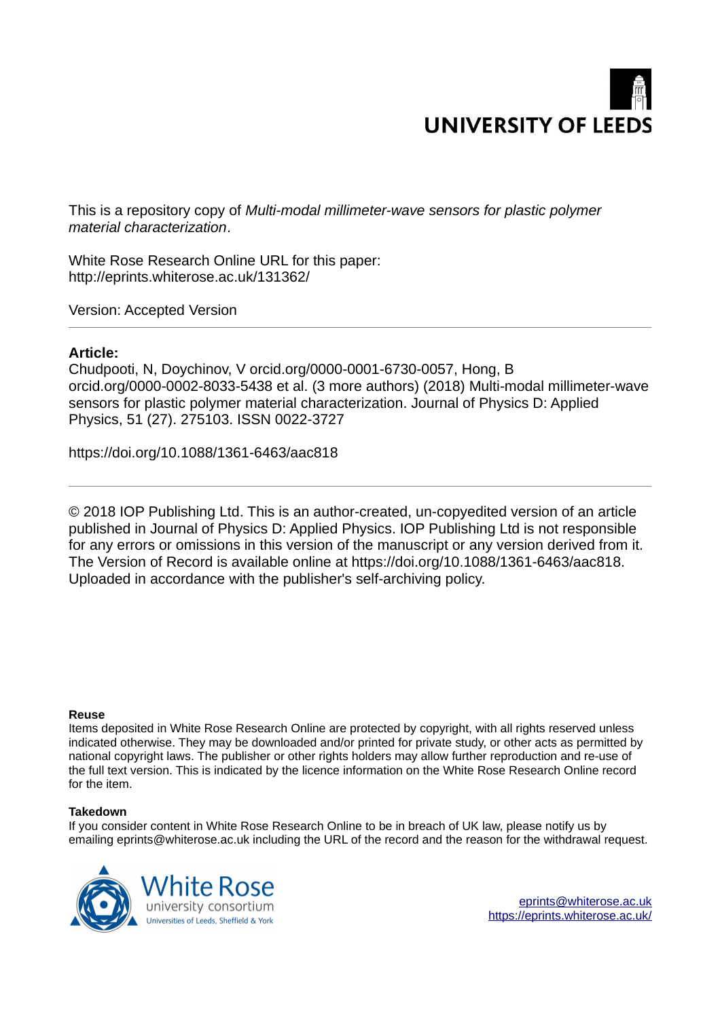

This is a repository copy of *Multi-modal millimeter-wave sensors for plastic polymer material characterization*.

White Rose Research Online URL for this paper: http://eprints.whiterose.ac.uk/131362/

Version: Accepted Version

# **Article:**

Chudpooti, N, Doychinov, V orcid.org/0000-0001-6730-0057, Hong, B orcid.org/0000-0002-8033-5438 et al. (3 more authors) (2018) Multi-modal millimeter-wave sensors for plastic polymer material characterization. Journal of Physics D: Applied Physics, 51 (27). 275103. ISSN 0022-3727

https://doi.org/10.1088/1361-6463/aac818

© 2018 IOP Publishing Ltd. This is an author-created, un-copyedited version of an article published in Journal of Physics D: Applied Physics. IOP Publishing Ltd is not responsible for any errors or omissions in this version of the manuscript or any version derived from it. The Version of Record is available online at https://doi.org/10.1088/1361-6463/aac818. Uploaded in accordance with the publisher's self-archiving policy.

# **Reuse**

Items deposited in White Rose Research Online are protected by copyright, with all rights reserved unless indicated otherwise. They may be downloaded and/or printed for private study, or other acts as permitted by national copyright laws. The publisher or other rights holders may allow further reproduction and re-use of the full text version. This is indicated by the licence information on the White Rose Research Online record for the item.

# **Takedown**

If you consider content in White Rose Research Online to be in breach of UK law, please notify us by emailing eprints@whiterose.ac.uk including the URL of the record and the reason for the withdrawal request.

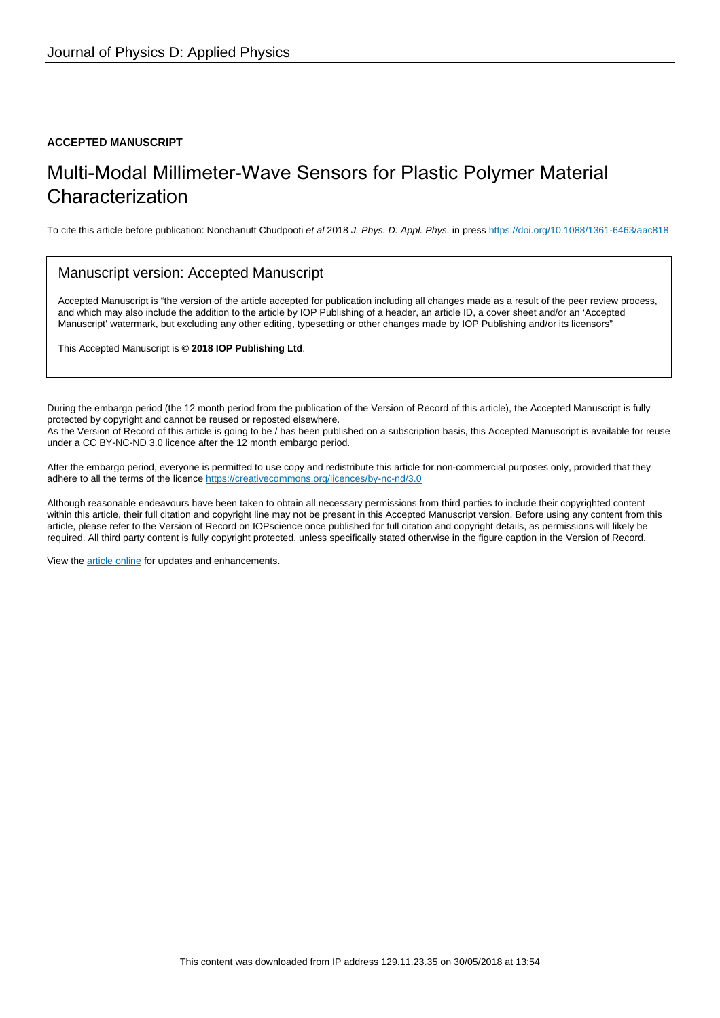# **ACCEPTED MANUSCRIPT**

# Multi-Modal Millimeter-Wave Sensors for Plastic Polymer Material Characterization

To cite this article before publication: Nonchanutt Chudpooti et al 2018 J. Phys. D: Appl. Phys. in press<https://doi.org/10.1088/1361-6463/aac818>

# Manuscript version: Accepted Manuscript

Accepted Manuscript is "the version of the article accepted for publication including all changes made as a result of the peer review process, and which may also include the addition to the article by IOP Publishing of a header, an article ID, a cover sheet and/or an 'Accepted Manuscript' watermark, but excluding any other editing, typesetting or other changes made by IOP Publishing and/or its licensors"

This Accepted Manuscript is **© 2018 IOP Publishing Ltd**.

During the embargo period (the 12 month period from the publication of the Version of Record of this article), the Accepted Manuscript is fully protected by copyright and cannot be reused or reposted elsewhere. As the Version of Record of this article is going to be / has been published on a subscription basis, this Accepted Manuscript is available for reuse under a CC BY-NC-ND 3.0 licence after the 12 month embargo period.

After the embargo period, everyone is permitted to use copy and redistribute this article for non-commercial purposes only, provided that they adhere to all the terms of the licence<https://creativecommons.org/licences/by-nc-nd/3.0>

Although reasonable endeavours have been taken to obtain all necessary permissions from third parties to include their copyrighted content within this article, their full citation and copyright line may not be present in this Accepted Manuscript version. Before using any content from this article, please refer to the Version of Record on IOPscience once published for full citation and copyright details, as permissions will likely be required. All third party content is fully copyright protected, unless specifically stated otherwise in the figure caption in the Version of Record.

View the [article online](https://doi.org/10.1088/1361-6463/aac818) for updates and enhancements.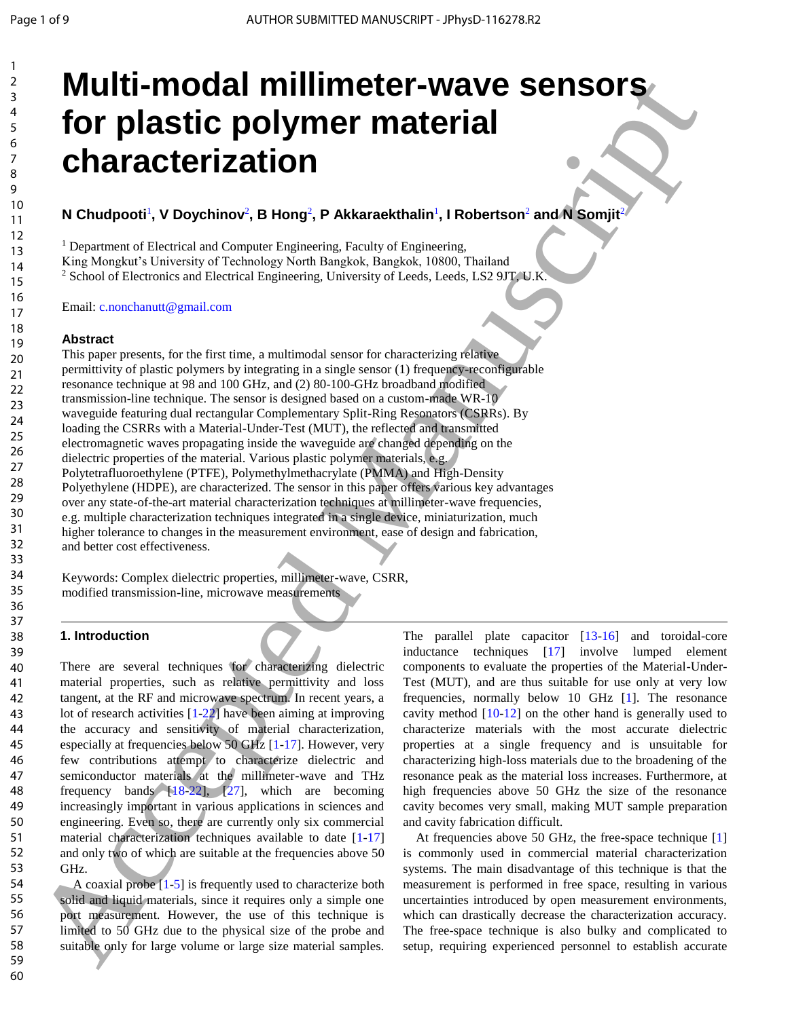# **Multi-modal millimeter-wave sensors for plastic polymer material characterization**

# $N$  Chudpooti<sup>1</sup>, V Doychinov<sup>2</sup>, B Hong<sup>2</sup>, P Akkaraekthalin<sup>1</sup>, I Robertson<sup>2</sup> and N Somjit<sup>2</sup>

<sup>1</sup> Department of Electrical and Computer Engineering, Faculty of Engineering,

King Mongkut's University of Technology North Bangkok, Bangkok, 10800, Thailand

<sup>2</sup> School of Electronics and Electrical Engineering, University of Leeds, Leeds, LS2 9JT, U.K.

Email: c.nonchanutt@gmail.com

#### **Abstract**

This paper presents, for the first time, a multimodal sensor for characterizing relative permittivity of plastic polymers by integrating in a single sensor (1) frequency-reconfigurable resonance technique at 98 and 100 GHz, and (2) 80-100-GHz broadband modified transmission-line technique. The sensor is designed based on a custom-made WR-10 waveguide featuring dual rectangular Complementary Split-Ring Resonators (CSRRs). By loading the CSRRs with a Material-Under-Test (MUT), the reflected and transmitted electromagnetic waves propagating inside the waveguide are changed depending on the dielectric properties of the material. Various plastic polymer materials, e.g. Polytetrafluoroethylene (PTFE), Polymethylmethacrylate (PMMA) and High-Density Polyethylene (HDPE), are characterized. The sensor in this paper offers various key advantages over any state-of-the-art material characterization techniques at millimeter-wave frequencies, e.g. multiple characterization techniques integrated in a single device, miniaturization, much higher tolerance to changes in the measurement environment, ease of design and fabrication, and better cost effectiveness. **Multi-model millimeter-wave sensors and an internal scheme of the sensor and the sensor and the sensor and the sensor and the sensor and the sensor and the sensor and the sensor and the sensor and the sensor and the sens** 

Keywords: Complex dielectric properties, millimeter-wave, CSRR, modified transmission-line, microwave measurements

# **1. Introduction**

There are several techniques for characterizing dielectric material properties, such as relative permittivity and loss tangent, at the RF and microwave spectrum. In recent years, a lot of research activities [1-22] have been aiming at improving the accuracy and sensitivity of material characterization, especially at frequencies below 50 GHz [1-17]. However, very few contributions attempt to characterize dielectric and semiconductor materials at the millimeter-wave and THz frequency bands  $[18-22]$ ,  $[27]$ , which are becoming increasingly important in various applications in sciences and engineering. Even so, there are currently only six commercial material characterization techniques available to date [1-17] and only two of which are suitable at the frequencies above 50 GHz.

A coaxial probe  $[1-5]$  is frequently used to characterize both solid and liquid materials, since it requires only a simple one port measurement. However, the use of this technique is limited to 50 GHz due to the physical size of the probe and suitable only for large volume or large size material samples.

The parallel plate capacitor [13-16] and toroidal-core inductance techniques [17] involve lumped element components to evaluate the properties of the Material-Under-Test (MUT), and are thus suitable for use only at very low frequencies, normally below 10 GHz [1]. The resonance cavity method [10-12] on the other hand is generally used to characterize materials with the most accurate dielectric properties at a single frequency and is unsuitable for characterizing high-loss materials due to the broadening of the resonance peak as the material loss increases. Furthermore, at high frequencies above 50 GHz the size of the resonance cavity becomes very small, making MUT sample preparation and cavity fabrication difficult.

At frequencies above 50 GHz, the free-space technique [1] is commonly used in commercial material characterization systems. The main disadvantage of this technique is that the measurement is performed in free space, resulting in various uncertainties introduced by open measurement environments, which can drastically decrease the characterization accuracy. The free-space technique is also bulky and complicated to setup, requiring experienced personnel to establish accurate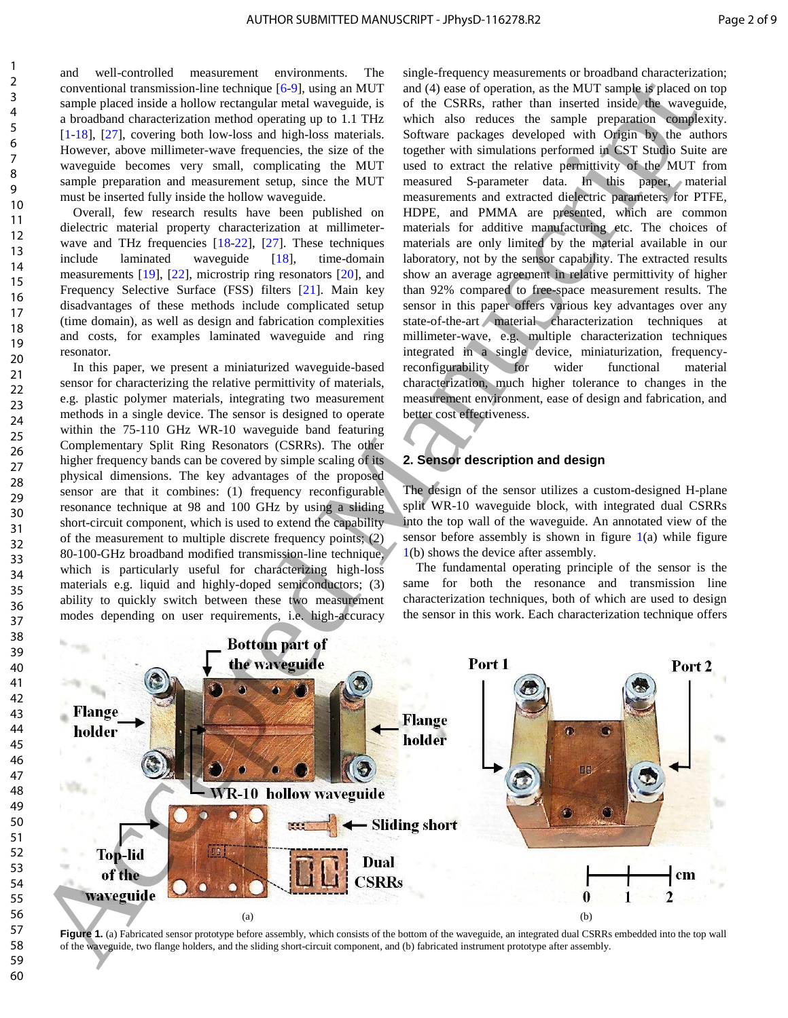and well-controlled measurement environments. The conventional transmission-line technique [6-9], using an MUT sample placed inside a hollow rectangular metal waveguide, is a broadband characterization method operating up to 1.1 THz [1-18], [27], covering both low-loss and high-loss materials. However, above millimeter-wave frequencies, the size of the waveguide becomes very small, complicating the MUT sample preparation and measurement setup, since the MUT must be inserted fully inside the hollow waveguide.

Overall, few research results have been published on dielectric material property characterization at millimeterwave and THz frequencies [18-22], [27]. These techniques include laminated waveguide [18], time-domain measurements [19], [22], microstrip ring resonators [20], and Frequency Selective Surface (FSS) filters [21]. Main key disadvantages of these methods include complicated setup (time domain), as well as design and fabrication complexities and costs, for examples laminated waveguide and ring resonator.

In this paper, we present a miniaturized waveguide-based sensor for characterizing the relative permittivity of materials, e.g. plastic polymer materials, integrating two measurement methods in a single device. The sensor is designed to operate within the 75-110 GHz WR-10 waveguide band featuring Complementary Split Ring Resonators (CSRRs). The other higher frequency bands can be covered by simple scaling of its physical dimensions. The key advantages of the proposed sensor are that it combines: (1) frequency reconfigurable resonance technique at 98 and 100 GHz by using a sliding short-circuit component, which is used to extend the capability of the measurement to multiple discrete frequency points; (2) 80-100-GHz broadband modified transmission-line technique, which is particularly useful for characterizing high-loss materials e.g. liquid and highly-doped semiconductors; (3) ability to quickly switch between these two measurement modes depending on user requirements, i.e. high-accuracy single-frequency measurements or broadband characterization; and (4) ease of operation, as the MUT sample is placed on top of the CSRRs, rather than inserted inside the waveguide, which also reduces the sample preparation complexity. Software packages developed with Origin by the authors together with simulations performed in CST Studio Suite are used to extract the relative permittivity of the MUT from measured S-parameter data. In this paper, material measurements and extracted dielectric parameters for PTFE, HDPE, and PMMA are presented, which are common materials for additive manufacturing etc. The choices of materials are only limited by the material available in our laboratory, not by the sensor capability. The extracted results show an average agreement in relative permittivity of higher than 92% compared to free-space measurement results. The sensor in this paper offers various key advantages over any state-of-the-art material characterization techniques at millimeter-wave, e.g. multiple characterization techniques integrated in a single device, miniaturization, frequencyreconfigurability for wider functional material characterization, much higher tolerance to changes in the measurement environment, ease of design and fabrication, and better cost effectiveness.

# **2. Sensor description and design**

The design of the sensor utilizes a custom-designed H-plane split WR-10 waveguide block, with integrated dual CSRRs into the top wall of the waveguide. An annotated view of the sensor before assembly is shown in figure  $1(a)$  while figure 1(b) shows the device after assembly.

The fundamental operating principle of the sensor is the same for both the resonance and transmission line characterization techniques, both of which are used to design the sensor in this work. Each characterization technique offers



Figure 1. (a) Fabricated sensor prototype before assembly, which consists of the bottom of the waveguide, an integrated dual CSRRs embedded into the top wall of the waveguide, two flange holders, and the sliding short-circuit component, and (b) fabricated instrument prototype after assembly.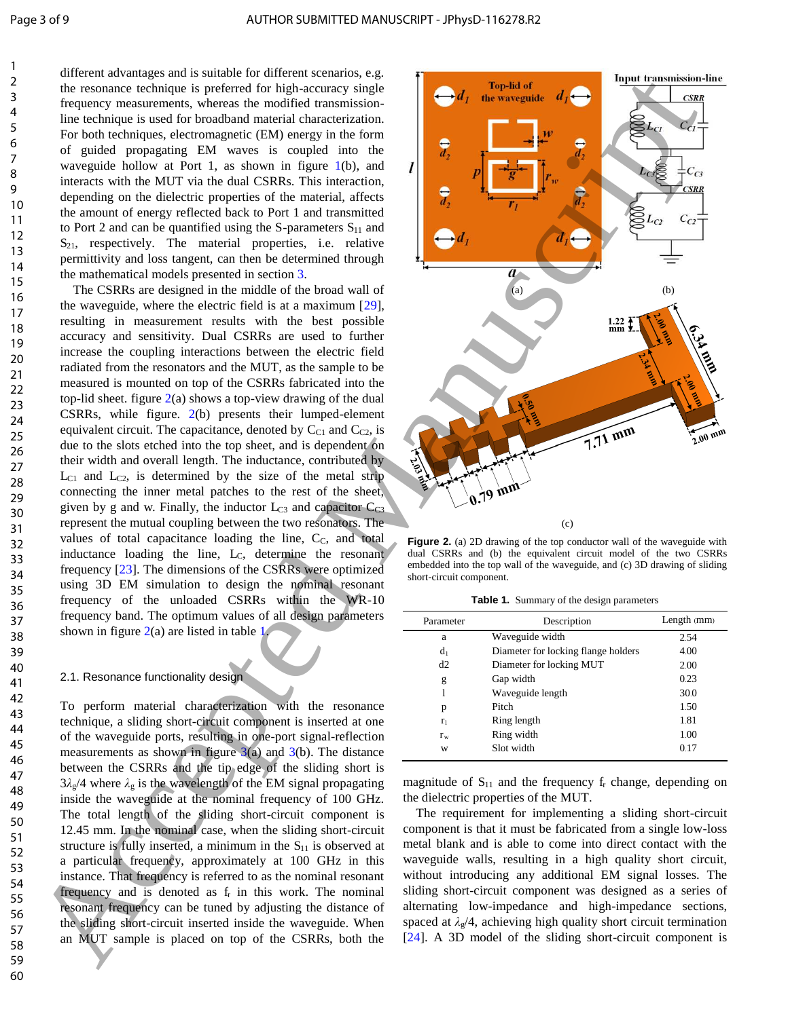different advantages and is suitable for different scenarios, e.g. the resonance technique is preferred for high-accuracy single frequency measurements, whereas the modified transmissionline technique is used for broadband material characterization. For both techniques, electromagnetic (EM) energy in the form of guided propagating EM waves is coupled into the waveguide hollow at Port 1, as shown in figure 1(b), and interacts with the MUT via the dual CSRRs. This interaction, depending on the dielectric properties of the material, affects the amount of energy reflected back to Port 1 and transmitted to Port 2 and can be quantified using the S-parameters  $S_{11}$  and  $S_{21}$ , respectively. The material properties, i.e. relative permittivity and loss tangent, can then be determined through the mathematical models presented in section 3.

The CSRRs are designed in the middle of the broad wall of the waveguide, where the electric field is at a maximum [29], resulting in measurement results with the best possible accuracy and sensitivity. Dual CSRRs are used to further increase the coupling interactions between the electric field radiated from the resonators and the MUT, as the sample to be measured is mounted on top of the CSRRs fabricated into the top-lid sheet. figure  $2(a)$  shows a top-view drawing of the dual CSRRs, while figure. 2(b) presents their lumped-element equivalent circuit. The capacitance, denoted by  $C_{C1}$  and  $C_{C2}$ , is due to the slots etched into the top sheet, and is dependent on their width and overall length. The inductance, contributed by  $L_{C1}$  and  $L_{C2}$ , is determined by the size of the metal strip connecting the inner metal patches to the rest of the sheet, given by g and w. Finally, the inductor  $L_{C3}$  and capacitor  $C_{C3}$ represent the mutual coupling between the two resonators. The values of total capacitance loading the line,  $C_{\rm C}$ , and total inductance loading the line, L<sub>C</sub>, determine the resonant frequency [23]. The dimensions of the CSRRs were optimized using 3D EM simulation to design the nominal resonant frequency of the unloaded CSRRs within the WR-10 frequency band. The optimum values of all design parameters shown in figure  $2(a)$  are listed in table 1.

#### 2.1. Resonance functionality design

To perform material characterization with the resonance technique, a sliding short-circuit component is inserted at one of the waveguide ports, resulting in one-port signal-reflection measurements as shown in figure  $3(a)$  and  $3(b)$ . The distance between the CSRRs and the tip edge of the sliding short is  $3\lambda_{g}/4$  where  $\lambda_{g}$  is the wavelength of the EM signal propagating inside the waveguide at the nominal frequency of 100 GHz. The total length of the sliding short-circuit component is 12.45 mm. In the nominal case, when the sliding short-circuit structure is fully inserted, a minimum in the  $S_{11}$  is observed at a particular frequency, approximately at 100 GHz in this instance. That frequency is referred to as the nominal resonant frequency and is denoted as f<sub>r</sub> in this work. The nominal resonant frequency can be tuned by adjusting the distance of the sliding short-circuit inserted inside the waveguide. When an MUT sample is placed on top of the CSRRs, both the



**Figure 2.** (a) 2D drawing of the top conductor wall of the waveguide with dual CSRRs and (b) the equivalent circuit model of the two CSRRs embedded into the top wall of the waveguide, and (c) 3D drawing of sliding short-circuit component.

Table 1. Summary of the design parameters

| Parameter | Description                         | Length (mm) |  |  |
|-----------|-------------------------------------|-------------|--|--|
| a         | Waveguide width                     | 2.54        |  |  |
| $d_1$     | Diameter for locking flange holders | 4.00        |  |  |
| d2        | Diameter for locking MUT            | 2.00        |  |  |
| g         | Gap width                           | 0.23        |  |  |
|           | Waveguide length                    | 30.0        |  |  |
| p         | Pitch                               | 1.50        |  |  |
| $r_1$     | Ring length                         | 1.81        |  |  |
| $r_{w}$   | Ring width                          | 1.00        |  |  |
| W         | Slot width                          | 0.17        |  |  |

magnitude of  $S_{11}$  and the frequency  $f_r$  change, depending on the dielectric properties of the MUT.

The requirement for implementing a sliding short-circuit component is that it must be fabricated from a single low-loss metal blank and is able to come into direct contact with the waveguide walls, resulting in a high quality short circuit, without introducing any additional EM signal losses. The sliding short-circuit component was designed as a series of alternating low-impedance and high-impedance sections, spaced at  $\lambda_{g}/4$ , achieving high quality short circuit termination [24]. A 3D model of the sliding short-circuit component is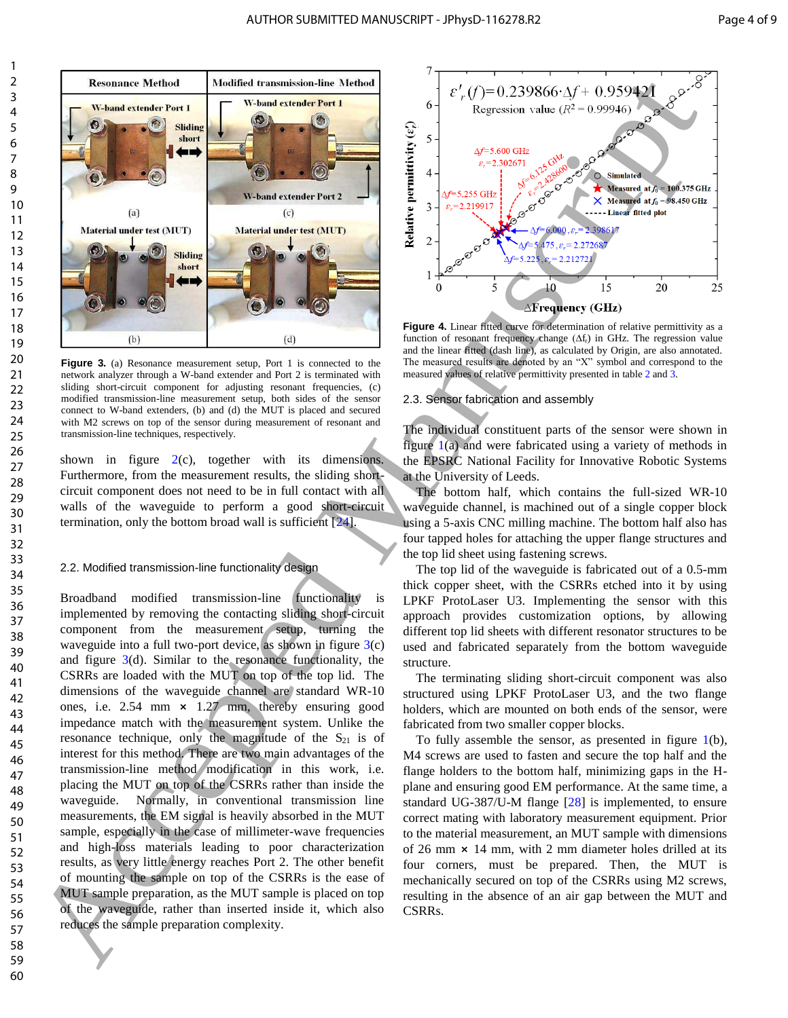

**Figure 3.** (a) Resonance measurement setup, Port 1 is connected to the network analyzer through a W-band extender and Port 2 is terminated with sliding short-circuit component for adjusting resonant frequencies, (c) modified transmission-line measurement setup, both sides of the sensor connect to W-band extenders, (b) and (d) the MUT is placed and secured with M2 screws on top of the sensor during measurement of resonant and transmission-line techniques, respectively.

shown in figure  $2(c)$ , together with its dimensions. Furthermore, from the measurement results, the sliding shortcircuit component does not need to be in full contact with all walls of the waveguide to perform a good short-circuit termination, only the bottom broad wall is sufficient [24].

#### 2.2. Modified transmission-line functionality design

Broadband modified transmission-line functionality is implemented by removing the contacting sliding short-circuit component from the measurement setup, turning the waveguide into a full two-port device, as shown in figure  $3(c)$ and figure  $3(d)$ . Similar to the resonance functionality, the CSRRs are loaded with the MUT on top of the top lid. The dimensions of the waveguide channel are standard WR-10 ones, i.e.  $2.54 \, \text{mm} \times 1.27 \, \text{mm}$ , thereby ensuring good impedance match with the measurement system. Unlike the resonance technique, only the magnitude of the  $S_{21}$  is of interest for this method. There are two main advantages of the transmission-line method modification in this work, i.e. placing the MUT on top of the CSRRs rather than inside the waveguide. Normally, in conventional transmission line measurements, the EM signal is heavily absorbed in the MUT sample, especially in the case of millimeter-wave frequencies and high-loss materials leading to poor characterization results, as very little energy reaches Port 2. The other benefit of mounting the sample on top of the CSRRs is the ease of MUT sample preparation, as the MUT sample is placed on top of the waveguide, rather than inserted inside it, which also reduces the sample preparation complexity. From the same of the same of the same of the same of the same of the same of the same of the same of the same of the same of the same of the same of the same of the same of the same of the same of the same of the same of



**Figure 4.** Linear fitted curve for determination of relative permittivity as a function of resonant frequency change  $(\Delta f_r)$  in GHz. The regression value and the linear fitted (dash line), as calculated by Origin, are also annotated. The measured results are denoted by an "X" symbol and correspond to the measured values of relative permittivity presented in table 2 and 3.

#### 2.3. Sensor fabrication and assembly

The individual constituent parts of the sensor were shown in figure  $1(a)$  and were fabricated using a variety of methods in the EPSRC National Facility for Innovative Robotic Systems at the University of Leeds.

The bottom half, which contains the full-sized WR-10 waveguide channel, is machined out of a single copper block using a 5-axis CNC milling machine. The bottom half also has four tapped holes for attaching the upper flange structures and the top lid sheet using fastening screws.

The top lid of the waveguide is fabricated out of a 0.5-mm thick copper sheet, with the CSRRs etched into it by using LPKF ProtoLaser U3. Implementing the sensor with this approach provides customization options, by allowing different top lid sheets with different resonator structures to be used and fabricated separately from the bottom waveguide structure.

The terminating sliding short-circuit component was also structured using LPKF ProtoLaser U3, and the two flange holders, which are mounted on both ends of the sensor, were fabricated from two smaller copper blocks.

To fully assemble the sensor, as presented in figure  $1(b)$ , M4 screws are used to fasten and secure the top half and the flange holders to the bottom half, minimizing gaps in the Hplane and ensuring good EM performance. At the same time, a standard UG-387/U-M flange [28] is implemented, to ensure correct mating with laboratory measurement equipment. Prior to the material measurement, an MUT sample with dimensions of 26 mm  $\times$  14 mm, with 2 mm diameter holes drilled at its four corners, must be prepared. Then, the MUT is mechanically secured on top of the CSRRs using M2 screws, resulting in the absence of an air gap between the MUT and CSRRs.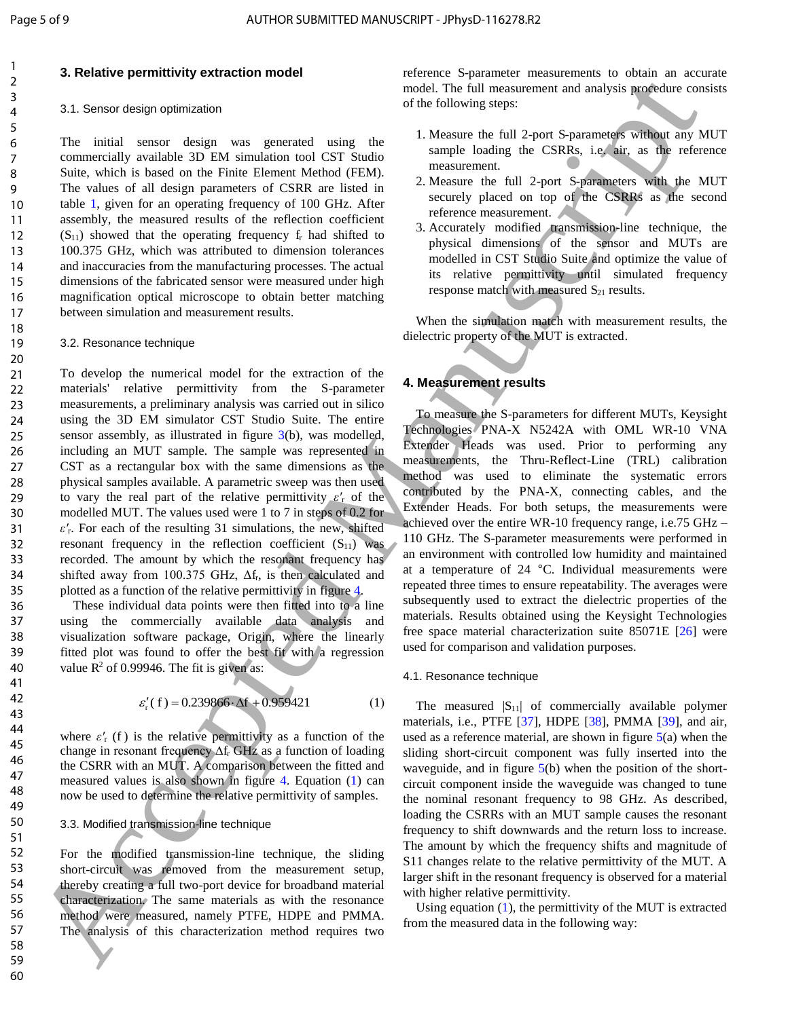#### **3. Relative permittivity extraction model**

#### 3.1. Sensor design optimization

The initial sensor design was generated using the commercially available 3D EM simulation tool CST Studio Suite, which is based on the Finite Element Method (FEM). The values of all design parameters of CSRR are listed in table 1, given for an operating frequency of 100 GHz. After assembly, the measured results of the reflection coefficient  $(S<sub>11</sub>)$  showed that the operating frequency  $f<sub>r</sub>$  had shifted to 100.375 GHz, which was attributed to dimension tolerances and inaccuracies from the manufacturing processes. The actual dimensions of the fabricated sensor were measured under high magnification optical microscope to obtain better matching between simulation and measurement results.

#### 3.2. Resonance technique

To develop the numerical model for the extraction of the materials' relative permittivity from the S-parameter measurements, a preliminary analysis was carried out in silico using the 3D EM simulator CST Studio Suite. The entire sensor assembly, as illustrated in figure 3(b), was modelled, including an MUT sample. The sample was represented in CST as a rectangular box with the same dimensions as the physical samples available. A parametric sweep was then used to vary the real part of the relative permittivity  $\varepsilon'_{r}$  of the modelled MUT. The values used were 1 to 7 in steps of 0.2 for  $\varepsilon'$ <sub>r</sub>. For each of the resulting 31 simulations, the new, shifted resonant frequency in the reflection coefficient  $(S_{11})$  was recorded. The amount by which the resonant frequency has shifted away from 100.375 GHz,  $\Delta f_r$ , is then calculated and plotted as a function of the relative permittivity in figure 4. A conservation of the conservation of the conservation of the conservation of the conservation of the conservation of the conservation of the conservation of the conservation of the conservation of the conservation of the

These individual data points were then fitted into to a line using the commercially available data analysis and visualization software package, Origin, where the linearly fitted plot was found to offer the best fit with a regression value  $R^2$  of 0.99946. The fit is given as:

$$
\varepsilon'_{r}(f) = 0.239866 \cdot \Delta f + 0.959421 \tag{1}
$$

where  $\varepsilon'$ <sub>r</sub> (f) is the relative permittivity as a function of the change in resonant frequency ∆f<sub>r</sub> GHz as a function of loading the CSRR with an MUT. A comparison between the fitted and measured values is also shown in figure 4. Equation (1) can now be used to determine the relative permittivity of samples.

#### 3.3. Modified transmission-line technique

For the modified transmission-line technique, the sliding short-circuit was removed from the measurement setup, thereby creating a full two-port device for broadband material characterization. The same materials as with the resonance method were measured, namely PTFE, HDPE and PMMA. The analysis of this characterization method requires two

reference S-parameter measurements to obtain an accurate model. The full measurement and analysis procedure consists of the following steps:

- 1. Measure the full 2-port S-parameters without any MUT sample loading the CSRRs, i.e. air, as the reference measurement.
- 2. Measure the full 2-port S-parameters with the MUT securely placed on top of the CSRRs as the second reference measurement.
- 3. Accurately modified transmission-line technique, the physical dimensions of the sensor and MUTs are modelled in CST Studio Suite and optimize the value of its relative permittivity until simulated frequency response match with measured  $S_{21}$  results.

When the simulation match with measurement results, the dielectric property of the MUT is extracted.

#### **4. Measurement results**

To measure the S-parameters for different MUTs, Keysight Technologies PNA-X N5242A with OML WR-10 VNA Extender Heads was used. Prior to performing any measurements, the Thru-Reflect-Line (TRL) calibration method was used to eliminate the systematic errors contributed by the PNA-X, connecting cables, and the Extender Heads. For both setups, the measurements were achieved over the entire WR-10 frequency range, i.e.75 GHz – 110 GHz. The S-parameter measurements were performed in an environment with controlled low humidity and maintained at a temperature of 24 °C. Individual measurements were repeated three times to ensure repeatability. The averages were subsequently used to extract the dielectric properties of the materials. Results obtained using the Keysight Technologies free space material characterization suite 85071E [26] were used for comparison and validation purposes.

#### 4.1. Resonance technique

The measured  $|S_{11}|$  of commercially available polymer materials, i.e., PTFE [37], HDPE [38], PMMA [39], and air, used as a reference material, are shown in figure  $5(a)$  when the sliding short-circuit component was fully inserted into the waveguide, and in figure 5(b) when the position of the shortcircuit component inside the waveguide was changed to tune the nominal resonant frequency to 98 GHz. As described, loading the CSRRs with an MUT sample causes the resonant frequency to shift downwards and the return loss to increase. The amount by which the frequency shifts and magnitude of S11 changes relate to the relative permittivity of the MUT. A larger shift in the resonant frequency is observed for a material with higher relative permittivity.

Using equation (1), the permittivity of the MUT is extracted from the measured data in the following way: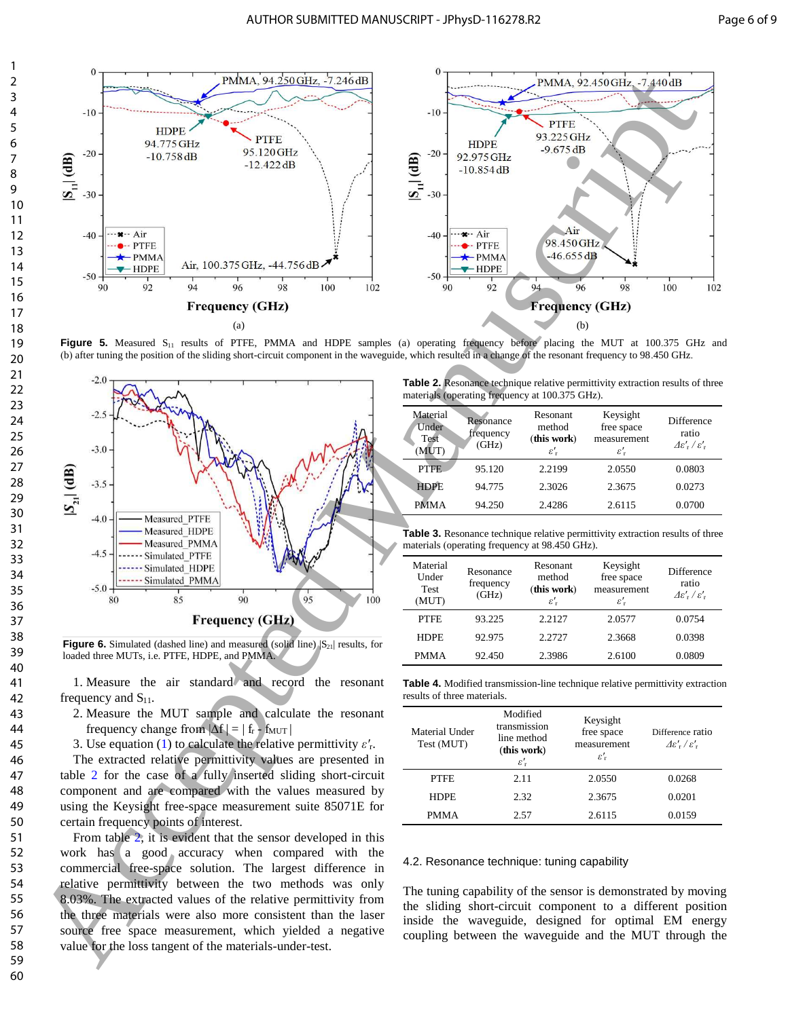

**Figure 5.** Measured S<sub>11</sub> results of PTFE, PMMA and HDPE samples (a) operating frequency before placing the MUT at 100.375 GHz and (b) after tuning the position of the sliding short-circuit component in the waveguide, which resulted in a change of the resonant frequency to 98.450 GHz.



**Figure 6.** Simulated (dashed line) and measured (solid line)  $|S_{21}|$  results, for loaded three MUTs, i.e. PTFE, HDPE, and PMMA.

1. Measure the air standard and record the resonant frequency and  $S_{11}$ .

2. Measure the MUT sample and calculate the resonant frequency change from  $|\Delta f| = |f_r - f_{MUT}|$ 

3. Use equation (1) to calculate the relative permittivity  $\varepsilon'$ <sup>r</sup>.

The extracted relative permittivity values are presented in table 2 for the case of a fully inserted sliding short-circuit component and are compared with the values measured by using the Keysight free-space measurement suite 85071E for certain frequency points of interest.

From table 2, it is evident that the sensor developed in this work has a good accuracy when compared with the commercial free-space solution. The largest difference in relative permittivity between the two methods was only 8.03%. The extracted values of the relative permittivity from the three materials were also more consistent than the laser source free space measurement, which yielded a negative value for the loss tangent of the materials-under-test.

**Table 2.** Resonance technique relative permittivity extraction results of three materials (operating frequency at 100.375 GHz).

| Material<br>Under<br>Test<br>(MUT) | Resonance<br>frequency<br>(GHz) | Resonant<br>method<br>(this work)<br>$\varepsilon_{\rm r}'$ | Keysight<br>free space<br>measurement<br>$\varepsilon_{\rm r}'$ | Difference<br>ratio<br>$\Delta \varepsilon'$ , $\ell'$ , |
|------------------------------------|---------------------------------|-------------------------------------------------------------|-----------------------------------------------------------------|----------------------------------------------------------|
| PTFE                               | 95.120                          | 2.2199                                                      | 2.0550                                                          | 0.0803                                                   |
| <b>HDPE</b>                        | 94.775                          | 2.3026                                                      | 2.3675                                                          | 0.0273                                                   |
| <b>PMMA</b>                        | 94.250                          | 2.4286                                                      | 2.6115                                                          | 0.0700                                                   |
|                                    |                                 |                                                             |                                                                 |                                                          |

**Table 3.** Resonance technique relative permittivity extraction results of three materials (operating frequency at 98.450 GHz).

| Material<br>Under<br><b>Test</b><br>(MUT) | Resonance<br>frequency<br>(GHz) | Resonant<br>method<br>(this work)<br>$\varepsilon_{\rm r}'$ | Keysight<br>free space<br>measurement<br>$\varepsilon_{\rm r}'$ | Difference<br>ratio<br>$\Delta \varepsilon'$ , $\ell'$ , |
|-------------------------------------------|---------------------------------|-------------------------------------------------------------|-----------------------------------------------------------------|----------------------------------------------------------|
| <b>PTFE</b>                               | 93.225                          | 2.2127                                                      | 2.0577                                                          | 0.0754                                                   |
| <b>HDPE</b>                               | 92.975                          | 2.2727                                                      | 2.3668                                                          | 0.0398                                                   |
| <b>PMMA</b>                               | 92.450                          | 2.3986                                                      | 2.6100                                                          | 0.0809                                                   |

**Table 4.** Modified transmission-line technique relative permittivity extraction results of three materials.

| Material Under<br>Test (MUT) | Modified<br>transmission<br>line method<br>(this work)<br>$\varepsilon_{\rm r}'$ |        | Difference ratio<br>$\Delta \varepsilon'$ , $\ell'$ , |  |  |
|------------------------------|----------------------------------------------------------------------------------|--------|-------------------------------------------------------|--|--|
| <b>PTFE</b>                  | 2.11                                                                             | 2.0550 | 0.0268                                                |  |  |
| <b>HDPE</b>                  | 2.32                                                                             | 2.3675 | 0.0201                                                |  |  |
| <b>PMMA</b>                  | 2.57                                                                             | 2.6115 | 0.0159                                                |  |  |

#### 4.2. Resonance technique: tuning capability

The tuning capability of the sensor is demonstrated by moving the sliding short-circuit component to a different position inside the waveguide, designed for optimal EM energy coupling between the waveguide and the MUT through the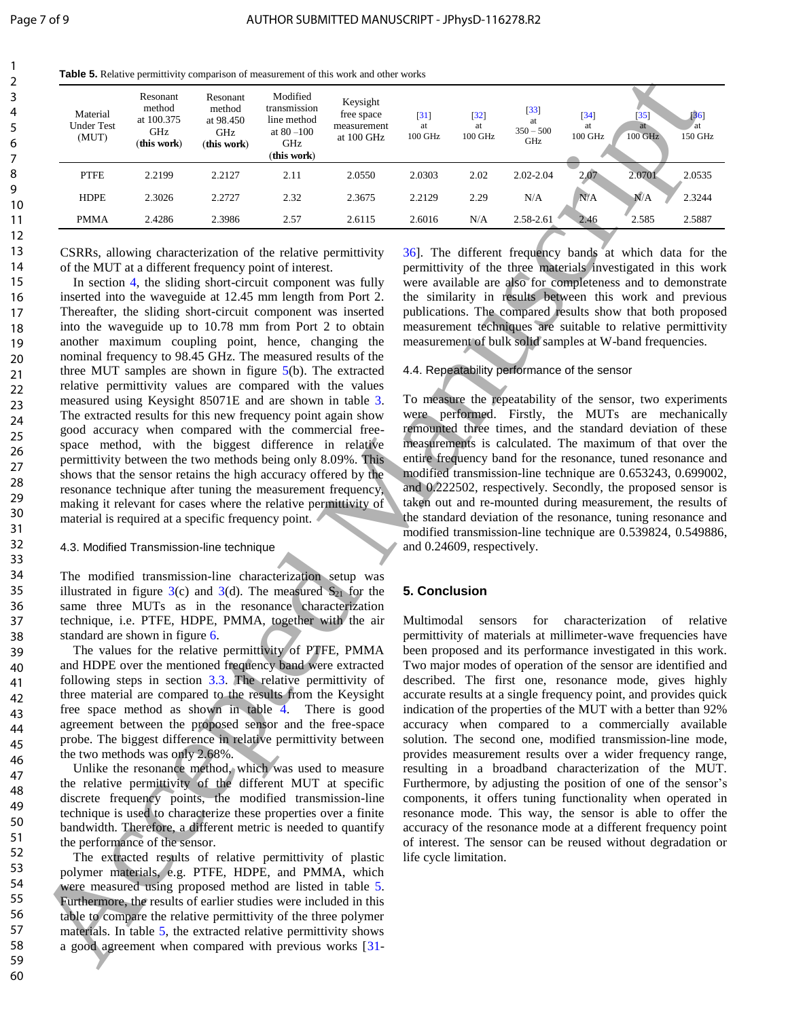**Table 5.** Relative permittivity comparison of measurement of this work and other works

| Material<br>Under Test<br>(MUT) | Resonant<br>method<br>at 100.375<br>GHz<br>(this work)                                                                                                                                                                                                                                                                                                                                                                                                                                                                                                                                                                                                                                                                                                                                                                                                                                                                                                                                                                                                                                                                                                                                                                                                                                                                                                                                                                                                                                                                                                                                                                                                                                                                                                                                                                                                                                                                                                                                                                                                                                                                                                                                                                                                                                                                                                                                                                                                                                                                                                                                                                                                                                                                                                                                                                                                                         | Resonant<br>method<br>at 98.450<br>GHz<br>(this work) | Modified<br>transmission<br>line method<br>at $80$ – $100\,$<br>GHz<br>(this work) | Keysight<br>free space<br>measurement<br>at 100 GHz | $\left\lceil 31 \right\rceil$<br>at<br>100 GHz | $[32]$<br>at<br>100 GHz                                         | $[33]$<br>at<br>$350 - 500$<br>GHz                  | $\left[34\right]$<br>at<br>100 GHz | $\left[35\right]$<br>at<br>100 GHz                                                                                                                                                                                                                                                                                                                                                                                                                                                                                                                                                                                                                                                                                                                                                                                                                                                                                                                                                                                                                                                                                                                                                                                                                                                                                                                                                                                                                                                                                                                                                                                                                                                                                                                                                                                                                                                                                                                                                                                                                                       | $[36]$<br>at<br>150 GHz |
|---------------------------------|--------------------------------------------------------------------------------------------------------------------------------------------------------------------------------------------------------------------------------------------------------------------------------------------------------------------------------------------------------------------------------------------------------------------------------------------------------------------------------------------------------------------------------------------------------------------------------------------------------------------------------------------------------------------------------------------------------------------------------------------------------------------------------------------------------------------------------------------------------------------------------------------------------------------------------------------------------------------------------------------------------------------------------------------------------------------------------------------------------------------------------------------------------------------------------------------------------------------------------------------------------------------------------------------------------------------------------------------------------------------------------------------------------------------------------------------------------------------------------------------------------------------------------------------------------------------------------------------------------------------------------------------------------------------------------------------------------------------------------------------------------------------------------------------------------------------------------------------------------------------------------------------------------------------------------------------------------------------------------------------------------------------------------------------------------------------------------------------------------------------------------------------------------------------------------------------------------------------------------------------------------------------------------------------------------------------------------------------------------------------------------------------------------------------------------------------------------------------------------------------------------------------------------------------------------------------------------------------------------------------------------------------------------------------------------------------------------------------------------------------------------------------------------------------------------------------------------------------------------------------------------|-------------------------------------------------------|------------------------------------------------------------------------------------|-----------------------------------------------------|------------------------------------------------|-----------------------------------------------------------------|-----------------------------------------------------|------------------------------------|--------------------------------------------------------------------------------------------------------------------------------------------------------------------------------------------------------------------------------------------------------------------------------------------------------------------------------------------------------------------------------------------------------------------------------------------------------------------------------------------------------------------------------------------------------------------------------------------------------------------------------------------------------------------------------------------------------------------------------------------------------------------------------------------------------------------------------------------------------------------------------------------------------------------------------------------------------------------------------------------------------------------------------------------------------------------------------------------------------------------------------------------------------------------------------------------------------------------------------------------------------------------------------------------------------------------------------------------------------------------------------------------------------------------------------------------------------------------------------------------------------------------------------------------------------------------------------------------------------------------------------------------------------------------------------------------------------------------------------------------------------------------------------------------------------------------------------------------------------------------------------------------------------------------------------------------------------------------------------------------------------------------------------------------------------------------------|-------------------------|
| <b>PTFE</b>                     | 2.2199                                                                                                                                                                                                                                                                                                                                                                                                                                                                                                                                                                                                                                                                                                                                                                                                                                                                                                                                                                                                                                                                                                                                                                                                                                                                                                                                                                                                                                                                                                                                                                                                                                                                                                                                                                                                                                                                                                                                                                                                                                                                                                                                                                                                                                                                                                                                                                                                                                                                                                                                                                                                                                                                                                                                                                                                                                                                         | 2.2127                                                | 2.11                                                                               | 2.0550                                              | 2.0303                                         | 2.02                                                            | 2.02-2.04                                           | 2.07                               | 2.0701                                                                                                                                                                                                                                                                                                                                                                                                                                                                                                                                                                                                                                                                                                                                                                                                                                                                                                                                                                                                                                                                                                                                                                                                                                                                                                                                                                                                                                                                                                                                                                                                                                                                                                                                                                                                                                                                                                                                                                                                                                                                   | 2.0535                  |
| <b>HDPE</b>                     | 2.3026                                                                                                                                                                                                                                                                                                                                                                                                                                                                                                                                                                                                                                                                                                                                                                                                                                                                                                                                                                                                                                                                                                                                                                                                                                                                                                                                                                                                                                                                                                                                                                                                                                                                                                                                                                                                                                                                                                                                                                                                                                                                                                                                                                                                                                                                                                                                                                                                                                                                                                                                                                                                                                                                                                                                                                                                                                                                         | 2.2727                                                | 2.32                                                                               | 2.3675                                              | 2.2129                                         | 2.29                                                            | N/A                                                 | N/A                                | N/A                                                                                                                                                                                                                                                                                                                                                                                                                                                                                                                                                                                                                                                                                                                                                                                                                                                                                                                                                                                                                                                                                                                                                                                                                                                                                                                                                                                                                                                                                                                                                                                                                                                                                                                                                                                                                                                                                                                                                                                                                                                                      | 2.3244                  |
| <b>PMMA</b>                     | 2.4286                                                                                                                                                                                                                                                                                                                                                                                                                                                                                                                                                                                                                                                                                                                                                                                                                                                                                                                                                                                                                                                                                                                                                                                                                                                                                                                                                                                                                                                                                                                                                                                                                                                                                                                                                                                                                                                                                                                                                                                                                                                                                                                                                                                                                                                                                                                                                                                                                                                                                                                                                                                                                                                                                                                                                                                                                                                                         | 2.3986                                                | 2.57                                                                               | 2.6115                                              | 2.6016                                         | N/A                                                             | 2.58-2.61                                           | 2.46                               | 2.585                                                                                                                                                                                                                                                                                                                                                                                                                                                                                                                                                                                                                                                                                                                                                                                                                                                                                                                                                                                                                                                                                                                                                                                                                                                                                                                                                                                                                                                                                                                                                                                                                                                                                                                                                                                                                                                                                                                                                                                                                                                                    | 2.5887                  |
|                                 | CSRRs, allowing characterization of the relative permittivity<br>of the MUT at a different frequency point of interest.<br>In section 4, the sliding short-circuit component was fully<br>inserted into the waveguide at 12.45 mm length from Port 2.<br>Thereafter, the sliding short-circuit component was inserted<br>into the waveguide up to 10.78 mm from Port 2 to obtain<br>another maximum coupling point, hence, changing the<br>nominal frequency to 98.45 GHz. The measured results of the<br>three MUT samples are shown in figure $5(b)$ . The extracted<br>relative permittivity values are compared with the values<br>measured using Keysight 85071E and are shown in table 3.<br>The extracted results for this new frequency point again show<br>good accuracy when compared with the commercial free-<br>space method, with the biggest difference in relative<br>permittivity between the two methods being only 8.09%. This<br>shows that the sensor retains the high accuracy offered by the<br>resonance technique after tuning the measurement frequency,<br>making it relevant for cases where the relative permittivity of<br>material is required at a specific frequency point.<br>4.3. Modified Transmission-line technique<br>The modified transmission-line characterization setup was<br>illustrated in figure $3(c)$ and $3(d)$ . The measured $S_{21}$ for the<br>same three MUTs as in the resonance characterization<br>technique, i.e. PTFE, HDPE, PMMA, together with the air<br>standard are shown in figure 6.<br>The values for the relative permittivity of PTFE, PMMA<br>and HDPE over the mentioned frequency band were extracted<br>following steps in section $3.3$ . The relative permittivity of<br>three material are compared to the results from the Keysight<br>free space method as shown in table $\overline{4}$ . There is good<br>agreement between the proposed sensor and the free-space<br>probe. The biggest difference in relative permittivity between<br>the two methods was only 2.68%.<br>Unlike the resonance method, which was used to measure<br>the relative permittivity of the different MUT at specific<br>discrete frequency points, the modified transmission-line<br>technique is used to characterize these properties over a finite<br>bandwidth. Therefore, a different metric is needed to quantify<br>the performance of the sensor.<br>The extracted results of relative permittivity of plastic<br>polymer materials, e.g. PTFE, HDPE, and PMMA, which<br>were measured using proposed method are listed in table 5.<br>Furthermore, the results of earlier studies were included in this<br>table to compare the relative permittivity of the three polymer<br>materials. In table 5, the extracted relative permittivity shows<br>a good agreement when compared with previous works [31- |                                                       |                                                                                    |                                                     | 5. Conclusion<br>Multimodal                    | and 0.24609, respectively.<br>sensors<br>life cycle limitation. | 4.4. Repeatability performance of the sensor<br>for | characterization                   | 36]. The different frequency bands at which data for the<br>permittivity of the three materials investigated in this work<br>were available are also for completeness and to demonstrate<br>the similarity in results between this work and previous<br>publications. The compared results show that both proposed<br>measurement techniques are suitable to relative permittivity<br>measurement of bulk solid samples at W-band frequencies.<br>To measure the repeatability of the sensor, two experiments<br>were performed. Firstly, the MUTs are mechanically<br>remounted three times, and the standard deviation of these<br>measurements is calculated. The maximum of that over the<br>entire frequency band for the resonance, tuned resonance and<br>modified transmission-line technique are 0.653243, 0.699002<br>and 0.222502, respectively. Secondly, the proposed sensor is<br>taken out and re-mounted during measurement, the results of<br>the standard deviation of the resonance, tuning resonance and<br>modified transmission-line technique are 0.539824, 0.549886<br>of<br>permittivity of materials at millimeter-wave frequencies have<br>been proposed and its performance investigated in this work<br>Two major modes of operation of the sensor are identified and<br>described. The first one, resonance mode, gives highly<br>accurate results at a single frequency point, and provides quick<br>indication of the properties of the MUT with a better than 92%<br>accuracy when compared to a commercially available<br>solution. The second one, modified transmission-line mode<br>provides measurement results over a wider frequency range<br>resulting in a broadband characterization of the MUT<br>Furthermore, by adjusting the position of one of the sensor's<br>components, it offers tuning functionality when operated in<br>resonance mode. This way, the sensor is able to offer the<br>accuracy of the resonance mode at a different frequency point<br>of interest. The sensor can be reused without degradation of | relative                |

#### 4.3. Modified Transmission-line technique

#### 4.4. Repeatability performance of the sensor

#### **5. Conclusion**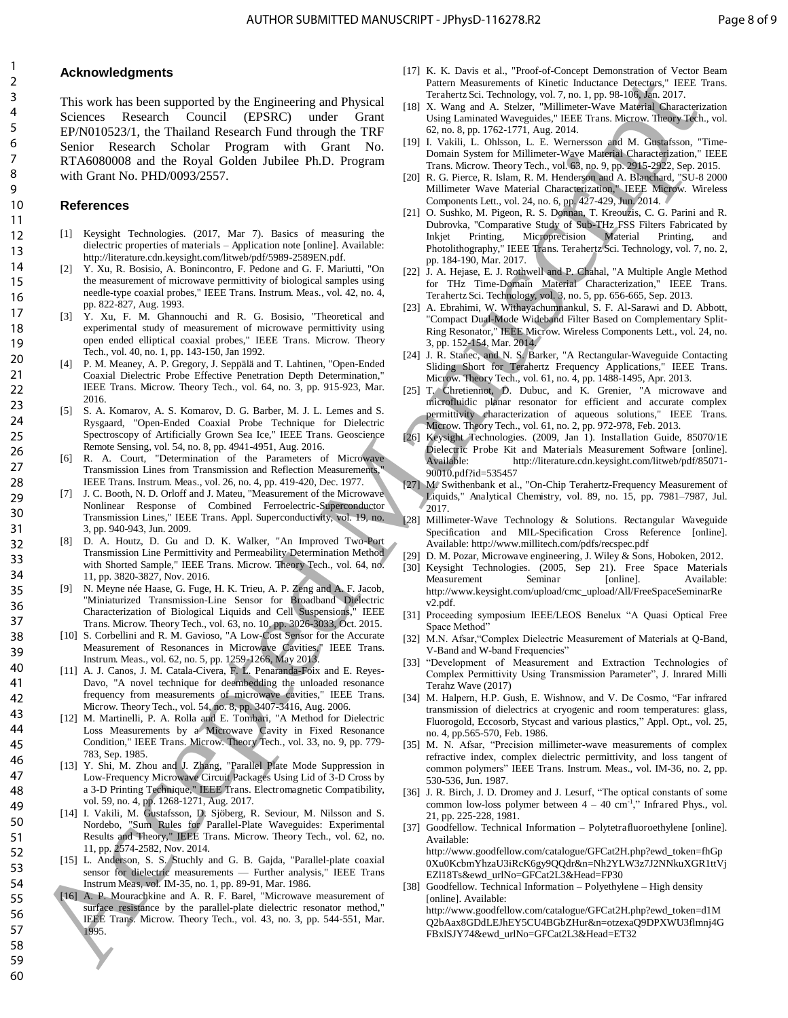# **Acknowledgments**

This work has been supported by the Engineering and Physical Sciences Research Council (EPSRC) under Grant EP/N010523/1, the Thailand Research Fund through the TRF Senior Research Scholar Program with Grant No. RTA6080008 and the Royal Golden Jubilee Ph.D. Program with Grant No. PHD/0093/2557. Final methods are control of the state in the state interest in the state interest in the state interest in the state interest in the state in the state interest in the state interest in the state interest in the state in

# **References**

- [1] Keysight Technologies. (2017, Mar 7). Basics of measuring the dielectric properties of materials *–* Application note [online]. Available: http://literature.cdn.keysight.com/litweb/pdf/5989-2589EN.pdf.
- [2] Y. Xu, R. Bosisio, A. Bonincontro, F. Pedone and G. F. Mariutti, "On the measurement of microwave permittivity of biological samples using needle-type coaxial probes," IEEE Trans. Instrum. Meas., vol. 42, no. 4, pp. 822-827, Aug. 1993.
- [3] Y. Xu, F. M. Ghannouchi and R. G. Bosisio, "Theoretical and experimental study of measurement of microwave permittivity using open ended elliptical coaxial probes," IEEE Trans. Microw. Theory Tech., vol. 40, no. 1, pp. 143-150, Jan 1992.
- [4] P. M. Meaney, A. P. Gregory, J. Seppälä and T. Lahtinen, "Open-Ended Coaxial Dielectric Probe Effective Penetration Depth Determination," IEEE Trans. Microw. Theory Tech., vol. 64, no. 3, pp. 915-923, Mar. 2016.
- [5] S. A. Komarov, A. S. Komarov, D. G. Barber, M. J. L. Lemes and S. Rysgaard, "Open-Ended Coaxial Probe Technique for Dielectric Spectroscopy of Artificially Grown Sea Ice," IEEE Trans. Geoscience Remote Sensing, vol. 54, no. 8, pp. 4941-4951, Aug. 2016.
- [6] R. A. Court, "Determination of the Parameters of Microwave Transmission Lines from Transmission and Reflection Measurements," IEEE Trans. Instrum. Meas., vol. 26, no. 4, pp. 419-420, Dec. 1977.
- [7] J. C. Booth, N. D. Orloff and J. Mateu, "Measurement of the Microwave Nonlinear Response of Combined Ferroelectric-Superconductor Transmission Lines," IEEE Trans. Appl. Superconductivity, vol. 19, no. 3, pp. 940-943, Jun. 2009.
- [8] D. A. Houtz, D. Gu and D. K. Walker, "An Improved Two-Port Transmission Line Permittivity and Permeability Determination Method with Shorted Sample," IEEE Trans. Microw. Theory Tech., vol. 64, no. 11, pp. 3820-3827, Nov. 2016.
- [9] N. Meyne née Haase, G. Fuge, H. K. Trieu, A. P. Zeng and A. F. Jacob, "Miniaturized Transmission-Line Sensor for Broadband Dielectric Characterization of Biological Liquids and Cell Suspensions," IEEE Trans. Microw. Theory Tech., vol. 63, no. 10, pp. 3026-3033, Oct. 2015.
- [10] S. Corbellini and R. M. Gavioso, "A Low-Cost Sensor for the Accurate Measurement of Resonances in Microwave Cavities," IEEE Trans. Instrum. Meas., vol. 62, no. 5, pp. 1259-1266, May 2013.
- [11] A. J. Canos, J. M. Catala-Civera, F. L. Penaranda-Foix and E. Reyes-Davo, "A novel technique for deembedding the unloaded resonance frequency from measurements of microwave cavities," IEEE Trans. Microw. Theory Tech., vol. 54, no. 8, pp. 3407-3416, Aug. 2006.
- [12] M. Martinelli, P. A. Rolla and E. Tombari, "A Method for Dielectric Loss Measurements by a Microwave Cavity in Fixed Resonance Condition," IEEE Trans. Microw. Theory Tech., vol. 33, no. 9, pp. 779- 783, Sep. 1985.
- [13] Y. Shi, M. Zhou and J. Zhang, "Parallel Plate Mode Suppression in Low-Frequency Microwave Circuit Packages Using Lid of 3-D Cross by a 3-D Printing Technique," IEEE Trans. Electromagnetic Compatibility, vol. 59, no. 4, pp. 1268-1271, Aug. 2017.
- [14] I. Vakili, M. Gustafsson, D. Sjöberg, R. Seviour, M. Nilsson and S. Nordebo, "Sum Rules for Parallel-Plate Waveguides: Experimental Results and Theory," IEEE Trans. Microw. Theory Tech., vol. 62, no. 11, pp. 2574-2582, Nov. 2014.
- [15] L. Anderson, S. S. Stuchly and G. B. Gajda, "Parallel-plate coaxial sensor for dielectric measurements — Further analysis," IEEE Trans Instrum Meas, vol. IM-35, no. 1, pp. 89-91, Mar. 1986.
- [16] A. P. Mourachkine and A. R. F. Barel, "Microwave measurement of surface resistance by the parallel-plate dielectric resonator method," IEEE Trans. Microw. Theory Tech., vol. 43, no. 3, pp. 544-551, Mar. 1995.
- [17] K. K. Davis et al., "Proof-of-Concept Demonstration of Vector Beam Pattern Measurements of Kinetic Inductance Detectors," IEEE Trans. Terahertz Sci. Technology, vol. 7, no. 1, pp. 98-106, Jan. 2017.
- [18] X. Wang and A. Stelzer, "Millimeter-Wave Material Characterization Using Laminated Waveguides," IEEE Trans. Microw. Theory Tech., vol. 62, no. 8, pp. 1762-1771, Aug. 2014.
- [19] I. Vakili, L. Ohlsson, L. E. Wernersson and M. Gustafsson, "Time-Domain System for Millimeter-Wave Material Characterization," IEEE Trans. Microw. Theory Tech., vol. 63, no. 9, pp. 2915-2922, Sep. 2015.
- [20] R. G. Pierce, R. Islam, R. M. Henderson and A. Blanchard, "SU-8 2000 Millimeter Wave Material Characterization," IEEE Microw. Wireless Components Lett., vol. 24, no. 6, pp. 427-429, Jun. 2014.
- [21] O. Sushko, M. Pigeon, R. S. Donnan, T. Kreouzis, C. G. Parini and R. Dubrovka, "Comparative Study of Sub-THz FSS Filters Fabricated by Inkjet Printing, Microprecision Material Printing, and Photolithography," IEEE Trans. Terahertz Sci. Technology, vol. 7, no. 2, pp. 184-190, Mar. 2017.
- [22] J. A. Hejase, E. J. Rothwell and P. Chahal, "A Multiple Angle Method for THz Time-Domain Material Characterization," IEEE Trans. Terahertz Sci. Technology, vol. 3, no. 5, pp. 656-665, Sep. 2013.
- [23] A. Ebrahimi, W. Withayachumnankul, S. F. Al-Sarawi and D. Abbott, "Compact Dual-Mode Wideband Filter Based on Complementary Split-Ring Resonator," IEEE Microw. Wireless Components Lett., vol. 24, no. 3, pp. 152-154, Mar. 2014.
- [24] J. R. Stanec, and N. S. Barker, "A Rectangular-Waveguide Contacting Sliding Short for Terahertz Frequency Applications," IEEE Trans. Microw. Theory Tech., vol. 61, no. 4, pp. 1488-1495, Apr. 2013.
- [25] T. Chretiennot, D. Dubuc, and K. Grenier, "A microwave and microfluidic planar resonator for efficient and accurate complex permittivity characterization of aqueous solutions," IEEE Trans. Microw. Theory Tech., vol. 61, no. 2, pp. 972-978, Feb. 2013.
- [26] Keysight Technologies. (2009, Jan 1). Installation Guide, 85070/1E Dielectric Probe Kit and Materials Measurement Software [online]. Available: http://literature.cdn.keysight.com/litweb/pdf/85071- 90010.pdf?id=535457
- [27] M. Swithenbank et al., "On-Chip Terahertz-Frequency Measurement of Liquids," Analytical Chemistry, vol. 89, no. 15, pp. 7981–7987, Jul. 2017.
- [28] Millimeter-Wave Technology & Solutions. Rectangular Waveguide Specification and MIL-Specification Cross Reference [online]. Available: http://www.millitech.com/pdfs/recspec.pdf
- [29] D. M. Pozar, Microwave engineering, J. Wiley & Sons, Hoboken, 2012.
- [30] Keysight Technologies. (2005, Sep 21). Free Space Materials Measurement Seminar [online]. Available: http://www.keysight.com/upload/cmc\_upload/All/FreeSpaceSeminarRe v2.pdf.
- [31] Proceeding symposium IEEE/LEOS Benelux "A Quasi Optical Free Space Method"
- [32] M.N. Afsar, "Complex Dielectric Measurement of Materials at Q-Band, V-Band and W-band Frequencies"
- [33] "Development of Measurement and Extraction Technologies of Complex Permittivity Using Transmission Parameter", J. Inrared Milli Terahz Wave (2017)
- [34] M. Halpern, H.P. Gush, E. Wishnow, and V. De Cosmo, "Far infrared transmission of dielectrics at cryogenic and room temperatures: glass, Fluorogold, Eccosorb, Stycast and various plastics," Appl. Opt., vol. 25, no. 4, pp.565-570, Feb. 1986.
- [35] M. N. Afsar, "Precision millimeter-wave measurements of complex refractive index, complex dielectric permittivity, and loss tangent of common polymers" IEEE Trans. Instrum. Meas., vol. IM-36, no. 2, pp. 530-536, Jun. 1987.
- [36] J. R. Birch, J. D. Dromey and J. Lesurf, "The optical constants of some common low-loss polymer between  $4 - 40$  cm<sup>-1</sup>," Infrared Phys., vol. 21, pp. 225-228, 1981.
- [37] Goodfellow. Technical Information Polytetrafluoroethylene [online]. Available:

http://www.goodfellow.com/catalogue/GFCat2H.php?ewd\_token=fhGp 0Xu0KcbmYhzaU3iRcK6gy9QQdr&n=Nh2YLW3z7J2NNkuXGR1ttVj EZl18Ts&ewd\_urlNo=GFCat2L3&Head=FP30

[38] Goodfellow. Technical Information *–* Polyethylene *–* High density [online]. Available: http://www.goodfellow.com/catalogue/GFCat2H.php?ewd\_token=d1M Q2bAax8GDdLEJhEY5CU4BGbZHur&n=otzexaQ9DPXWU3flmnj4G FBxlSJY74&ewd\_urlNo=GFCat2L3&Head=ET32